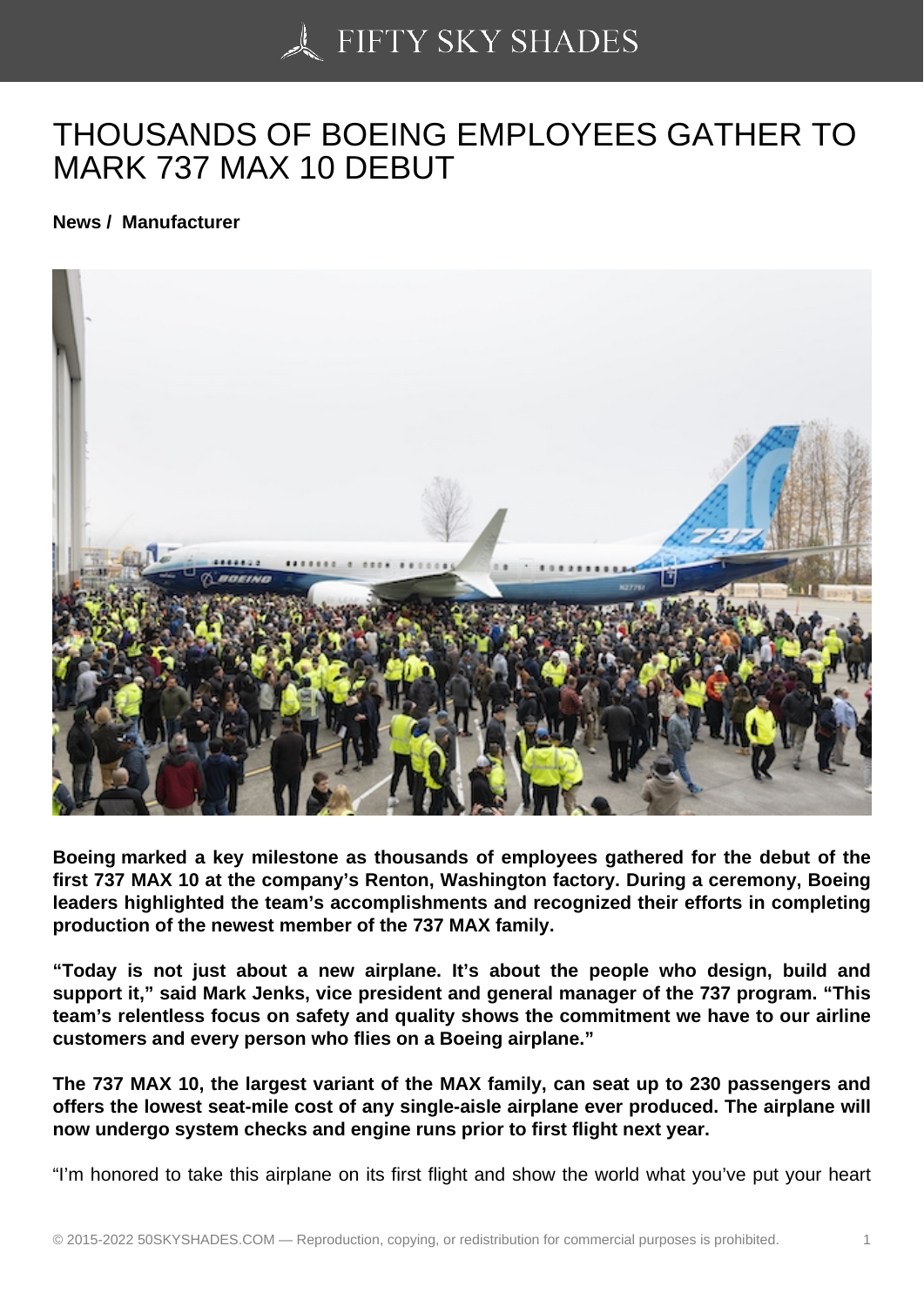## [THOUSANDS OF BOE](https://50skyshades.com)ING EMPLOYEES GATHER TO MARK 737 MAX 10 DEBUT

News / Manufacturer

Boeing marked a key milestone as thousands of employees gathered for the debut of the first 737 MAX 10 at the company's Renton, Washington factory. During a ceremony, Boeing leaders highlighted the team's accomplishments and recognized their efforts in completing production of the newest member of the 737 MAX family.

"Today is not just about a new airplane. It's about the people who design, build and support it," said Mark Jenks, vice president and general manager of the 737 program. "This team's relentless focus on safety and quality shows the commitment we have to our airline customers and every person who flies on a Boeing airplane."

The 737 MAX 10, the largest variant of the MAX family, can seat up to 230 passengers and offers the lowest seat-mile cost of any single-aisle airplane ever produced. The airplane will now undergo system checks and engine runs prior to first flight next year.

"I'm honored to take this airplane on its first flight and show the world what you've put your heart